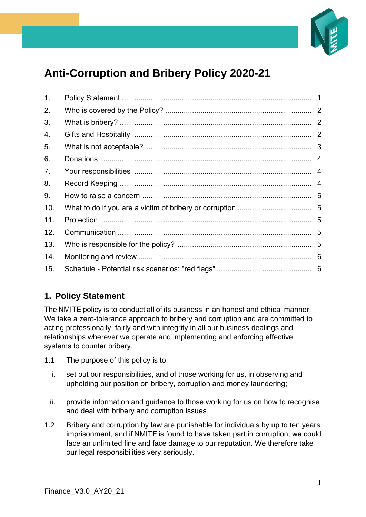

# **Anti-Corruption and Bribery Policy 2020-21**

| 1.  |  |
|-----|--|
| 2.  |  |
| 3.  |  |
| 4.  |  |
| 5.  |  |
| 6.  |  |
| 7.  |  |
| 8.  |  |
| 9.  |  |
| 10. |  |
| 11. |  |
| 12. |  |
| 13. |  |
| 14. |  |
| 15. |  |

# <span id="page-0-0"></span>**1. Policy Statement**

The NMITE policy is to conduct all of its business in an honest and ethical manner. We take a zero-tolerance approach to bribery and corruption and are committed to acting professionally, fairly and with integrity in all our business dealings and relationships wherever we operate and implementing and enforcing effective systems to counter bribery. 

- 1.1 The purpose of this policy is to:
	- i. set out our responsibilities, and of those working for us, in observing and upholding our position on bribery, corruption and money laundering;
	- ii. provide information and guidance to those working for us on how to recognise and deal with bribery and corruption issues.
- 1.2 Bribery and corruption by law are punishable for individuals by up to ten years imprisonment, and if NMITE is found to have taken part in corruption, we could face an unlimited fine and face damage to our reputation. We therefore take our legal responsibilities very seriously.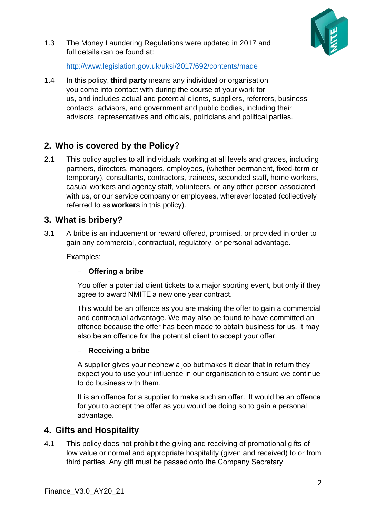

1.3 The Money Laundering Regulations were updated in 2017 and full details can be found at:  

<http://www.legislation.gov.uk/uksi/2017/692/contents/made> 

1.4 In this policy, **third party** means any individual or organisation you come into contact with during the course of your work for us, and includes actual and potential clients, suppliers, referrers, business contacts, advisors, and government and public bodies, including their advisors, representatives and officials, politicians and political parties. 

# <span id="page-1-0"></span>**2. Who is covered by the Policy?**

2.1 This policy applies to all individuals working at all levels and grades, including partners, directors, managers, employees, (whether permanent, fixed-term or temporary), consultants, contractors, trainees, seconded staff, home workers, casual workers and agency staff, volunteers, or any other person associated with us, or our service company or employees, wherever located (collectively referred to as **workers** in this policy). 

## <span id="page-1-1"></span>**3. What is bribery?**

3.1 A bribe is an inducement or reward offered, promised, or provided in order to gain any commercial, contractual, regulatory, or personal advantage. 

Examples: 

#### − **Offering a bribe**

You offer a potential client tickets to a major sporting event, but only if they agree to award NMITE a new one year contract. 

This would be an offence as you are making the offer to gain a commercial and contractual advantage. We may also be found to have committed an offence because the offer has been made to obtain business for us. It may also be an offence for the potential client to accept your offer. 

#### − **Receiving a bribe**

A supplier gives your nephew a job but makes it clear that in return they expect you to use your influence in our organisation to ensure we continue to do business with them. 

It is an offence for a supplier to make such an offer.  It would be an offence for you to accept the offer as you would be doing so to gain a personal advantage. 

## <span id="page-1-2"></span>**4. Gifts and Hospitality**

4.1 This policy does not prohibit the giving and receiving of promotional gifts of low value or normal and appropriate hospitality (given and received) to or from third parties. Any gift must be passed onto the Company Secretary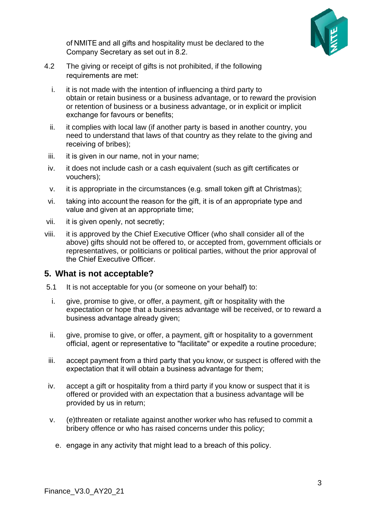

of NMITE and all gifts and hospitality must be declared to the Company Secretary as set out in 8.2. 

- 4.2 The giving or receipt of gifts is not prohibited, if the following requirements are met:
	- i. it is not made with the intention of influencing a third party to obtain or retain business or a business advantage, or to reward the provision or retention of business or a business advantage, or in explicit or implicit exchange for favours or benefits;
	- ii. it complies with local law (if another party is based in another country, you need to understand that laws of that country as they relate to the giving and receiving of bribes);
	- iii. it is given in our name, not in your name;
	- iv. it does not include cash or a cash equivalent (such as gift certificates or vouchers);
	- v. it is appropriate in the circumstances (e.g. small token gift at Christmas);
	- vi. taking into account the reason for the gift, it is of an appropriate type and value and given at an appropriate time;
- vii. it is given openly, not secretly;
- viii. it is approved by the Chief Executive Officer (who shall consider all of the above) gifts should not be offered to, or accepted from, government officials or representatives, or politicians or political parties, without the prior approval of the Chief Executive Officer.

## <span id="page-2-0"></span>**5. What is not acceptable?**

- 5.1 It is not acceptable for you (or someone on your behalf) to:
- i. give, promise to give, or offer, a payment, gift or hospitality with the expectation or hope that a business advantage will be received, or to reward a business advantage already given;
- ii. give, promise to give, or offer, a payment, gift or hospitality to a government official, agent or representative to "facilitate" or expedite a routine procedure;
- iii. accept payment from a third party that you know, or suspect is offered with the expectation that it will obtain a business advantage for them;
- iv. accept a gift or hospitality from a third party if you know or suspect that it is offered or provided with an expectation that a business advantage will be provided by us in return;
- v. (e)threaten or retaliate against another worker who has refused to commit a bribery offence or who has raised concerns under this policy;
	- e. engage in any activity that might lead to a breach of this policy.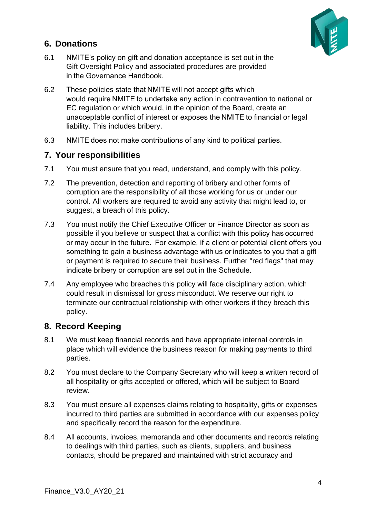

# <span id="page-3-0"></span>**6. Donations**

- 6.1 NMITE's policy on gift and donation acceptance is set out in the Gift Oversight Policy and associated procedures are provided in the Governance Handbook.
- 6.2 These policies state that NMITE will not accept gifts which would require NMITE to undertake any action in contravention to national or EC regulation or which would, in the opinion of the Board, create an unacceptable conflict of interest or exposes the NMITE to financial or legal liability. This includes bribery.
- 6.3 NMITE does not make contributions of any kind to political parties.

#### <span id="page-3-1"></span>**7. Your responsibilities**

- 7.1 You must ensure that you read, understand, and comply with this policy.
- 7.2 The prevention, detection and reporting of bribery and other forms of corruption are the responsibility of all those working for us or under our control. All workers are required to avoid any activity that might lead to, or suggest, a breach of this policy.
- 7.3 You must notify the Chief Executive Officer or Finance Director as soon as possible if you believe or suspect that a conflict with this policy has occurred or may occur in the future.  For example, if a client or potential client offers you something to gain a business advantage with us or indicates to you that a gift or payment is required to secure their business. Further "red flags" that may indicate bribery or corruption are set out in the Schedule.
- 7.4 Any employee who breaches this policy will face disciplinary action, which could result in dismissal for gross misconduct. We reserve our right to terminate our contractual relationship with other workers if they breach this policy.

## <span id="page-3-2"></span>**8. Record Keeping**

- 8.1 We must keep financial records and have appropriate internal controls in place which will evidence the business reason for making payments to third parties.
- 8.2 You must declare to the Company Secretary who will keep a written record of all hospitality or gifts accepted or offered, which will be subject to Board review.
- 8.3 You must ensure all expenses claims relating to hospitality, gifts or expenses incurred to third parties are submitted in accordance with our expenses policy and specifically record the reason for the expenditure.
- 8.4 All accounts, invoices, memoranda and other documents and records relating to dealings with third parties, such as clients, suppliers, and business contacts, should be prepared and maintained with strict accuracy and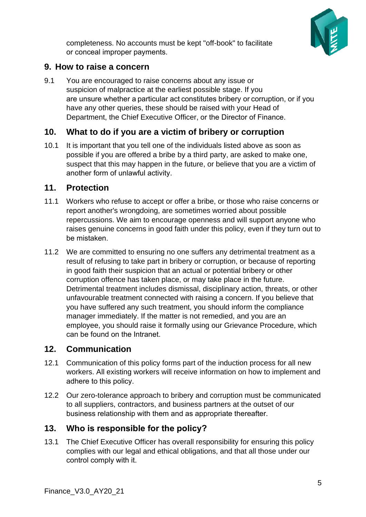

completeness. No accounts must be kept "off-book" to facilitate or conceal improper payments. 

## <span id="page-4-0"></span>**9. How to raise a concern**

9.1 You are encouraged to raise concerns about any issue or suspicion of malpractice at the earliest possible stage. If you are unsure whether a particular act constitutes bribery or corruption, or if you have any other queries, these should be raised with your Head of Department, the Chief Executive Officer, or the Director of Finance.  

## <span id="page-4-1"></span>**10. What to do if you are a victim of bribery or corruption**

10.1 It is important that you tell one of the individuals listed above as soon as possible if you are offered a bribe by a third party, are asked to make one, suspect that this may happen in the future, or believe that you are a victim of another form of unlawful activity. 

#### <span id="page-4-2"></span>**11. Protection**

- 11.1 Workers who refuse to accept or offer a bribe, or those who raise concerns or report another's wrongdoing, are sometimes worried about possible repercussions. We aim to encourage openness and will support anyone who raises genuine concerns in good faith under this policy, even if they turn out to be mistaken.
- 11.2 We are committed to ensuring no one suffers any detrimental treatment as a result of refusing to take part in bribery or corruption, or because of reporting in good faith their suspicion that an actual or potential bribery or other corruption offence has taken place, or may take place in the future. Detrimental treatment includes dismissal, disciplinary action, threats, or other unfavourable treatment connected with raising a concern. If you believe that you have suffered any such treatment, you should inform the compliance manager immediately. If the matter is not remedied, and you are an employee, you should raise it formally using our Grievance Procedure, which can be found on the Intranet.

#### <span id="page-4-3"></span>**12. Communication**

- 12.1 Communication of this policy forms part of the induction process for all new workers. All existing workers will receive information on how to implement and adhere to this policy.
- 12.2 Our zero-tolerance approach to bribery and corruption must be communicated to all suppliers, contractors, and business partners at the outset of our business relationship with them and as appropriate thereafter.

## <span id="page-4-4"></span>**13. Who is responsible for the policy?**

13.1 The Chief Executive Officer has overall responsibility for ensuring this policy complies with our legal and ethical obligations, and that all those under our control comply with it.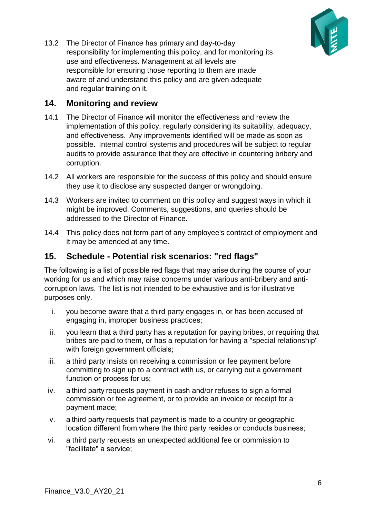

13.2 The Director of Finance has primary and day-to-day responsibility for implementing this policy, and for monitoring its use and effectiveness. Management at all levels are responsible for ensuring those reporting to them are made aware of and understand this policy and are given adequate and regular training on it. 

## <span id="page-5-0"></span>**14. Monitoring and review**

- 14.1 The Director of Finance will monitor the effectiveness and review the implementation of this policy, regularly considering its suitability, adequacy, and effectiveness.  Any improvements identified will be made as soon as possible.  Internal control systems and procedures will be subject to regular audits to provide assurance that they are effective in countering bribery and corruption.
- 14.2 All workers are responsible for the success of this policy and should ensure they use it to disclose any suspected danger or wrongdoing.
- 14.3 Workers are invited to comment on this policy and suggest ways in which it might be improved. Comments, suggestions, and queries should be addressed to the Director of Finance.
- 14.4 This policy does not form part of any employee's contract of employment and it may be amended at any time.

## <span id="page-5-1"></span>**15. Schedule - Potential risk scenarios: "red flags"**

The following is a list of possible red flags that may arise during the course of your working for us and which may raise concerns under various anti-bribery and anticorruption laws. The list is not intended to be exhaustive and is for illustrative purposes only. 

- i. you become aware that a third party engages in, or has been accused of engaging in, improper business practices;
- ii. you learn that a third party has a reputation for paying bribes, or requiring that bribes are paid to them, or has a reputation for having a "special relationship" with foreign government officials;
- iii. a third party insists on receiving a commission or fee payment before committing to sign up to a contract with us, or carrying out a government function or process for us;
- iv. a third party requests payment in cash and/or refuses to sign a formal commission or fee agreement, or to provide an invoice or receipt for a payment made;
- v. a third party requests that payment is made to a country or geographic location different from where the third party resides or conducts business;
- vi. a third party requests an unexpected additional fee or commission to "facilitate" a service;